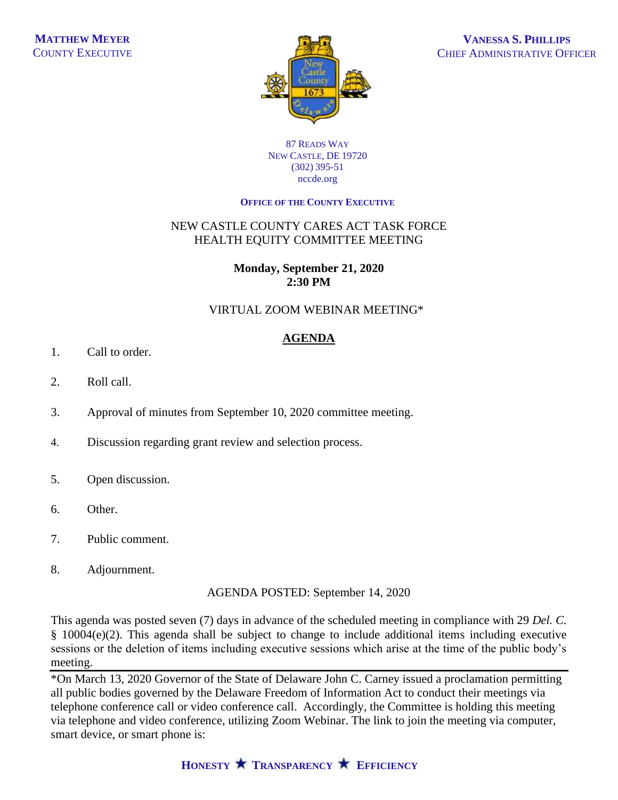

#### 87 READS WAY NEW CASTLE, DE 19720 (302) 395-51 nccde.org

### **OFFICE OF THE COUNTY EXECUTIVE**

# NEW CASTLE COUNTY CARES ACT TASK FORCE HEALTH EQUITY COMMITTEE MEETING

## **Monday, September 21, 2020 2:30 PM**

# VIRTUAL ZOOM WEBINAR MEETING\*

# **AGENDA**

- 1. Call to order.
- 2. Roll call.
- 3. Approval of minutes from September 10, 2020 committee meeting.
- 4. Discussion regarding grant review and selection process.
- 5. Open discussion.
- 6. Other.
- 7. Public comment.
- 8. Adjournment.

AGENDA POSTED: September 14, 2020

This agenda was posted seven (7) days in advance of the scheduled meeting in compliance with 29 *Del. C.* § 10004(e)(2). This agenda shall be subject to change to include additional items including executive sessions or the deletion of items including executive sessions which arise at the time of the public body's meeting.

\*On March 13, 2020 Governor of the State of Delaware John C. Carney issued a proclamation permitting all public bodies governed by the Delaware Freedom of Information Act to conduct their meetings via telephone conference call or video conference call. Accordingly, the Committee is holding this meeting via telephone and video conference, utilizing Zoom Webinar. The link to join the meeting via computer, smart device, or smart phone is: